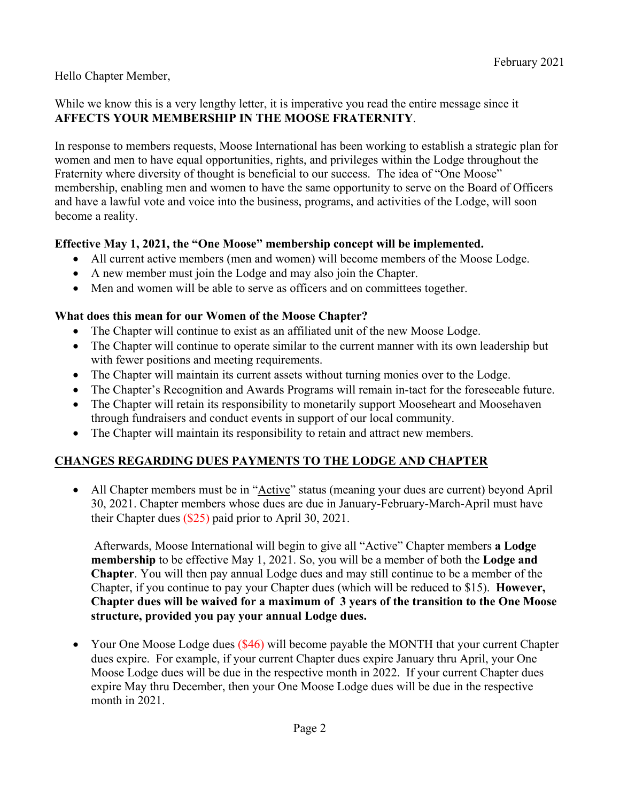### Hello Chapter Member,

### While we know this is a very lengthy letter, it is imperative you read the entire message since it **AFFECTS YOUR MEMBERSHIP IN THE MOOSE FRATERNITY**.

In response to members requests, Moose International has been working to establish a strategic plan for women and men to have equal opportunities, rights, and privileges within the Lodge throughout the Fraternity where diversity of thought is beneficial to our success. The idea of "One Moose" membership, enabling men and women to have the same opportunity to serve on the Board of Officers and have a lawful vote and voice into the business, programs, and activities of the Lodge, will soon become a reality.

## **Effective May 1, 2021, the "One Moose" membership concept will be implemented.**

- All current active members (men and women) will become members of the Moose Lodge.
- A new member must join the Lodge and may also join the Chapter.
- Men and women will be able to serve as officers and on committees together.

### **What does this mean for our Women of the Moose Chapter?**

- The Chapter will continue to exist as an affiliated unit of the new Moose Lodge.
- The Chapter will continue to operate similar to the current manner with its own leadership but with fewer positions and meeting requirements.
- The Chapter will maintain its current assets without turning monies over to the Lodge.
- The Chapter's Recognition and Awards Programs will remain in-tact for the foreseeable future.
- The Chapter will retain its responsibility to monetarily support Mooseheart and Moosehaven through fundraisers and conduct events in support of our local community.
- The Chapter will maintain its responsibility to retain and attract new members.

## **CHANGES REGARDING DUES PAYMENTS TO THE LODGE AND CHAPTER**

 All Chapter members must be in "Active" status (meaning your dues are current) beyond April 30, 2021. Chapter members whose dues are due in January-February-March-April must have their Chapter dues (\$25) paid prior to April 30, 2021.

 Afterwards, Moose International will begin to give all "Active" Chapter members **a Lodge membership** to be effective May 1, 2021. So, you will be a member of both the **Lodge and Chapter**. You will then pay annual Lodge dues and may still continue to be a member of the Chapter, if you continue to pay your Chapter dues (which will be reduced to \$15). **However, Chapter dues will be waived for a maximum of 3 years of the transition to the One Moose structure, provided you pay your annual Lodge dues.** 

• Your One Moose Lodge dues (\$46) will become payable the MONTH that your current Chapter dues expire. For example, if your current Chapter dues expire January thru April, your One Moose Lodge dues will be due in the respective month in 2022. If your current Chapter dues expire May thru December, then your One Moose Lodge dues will be due in the respective month in 2021.